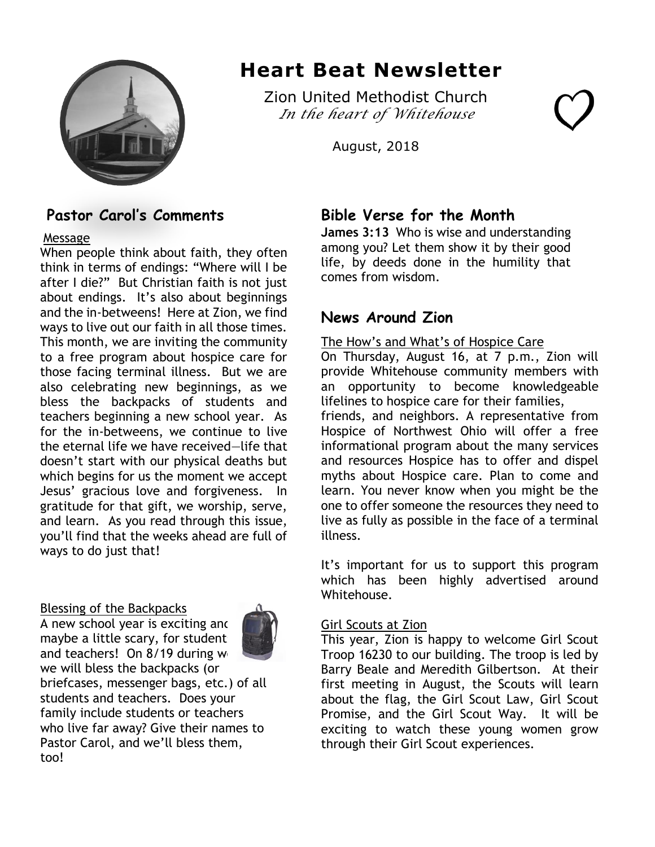

# **Heart Beat Newsletter**

Zion United Methodist Church *In the heart of Whitehouse* 

August, 2018

# **Pastor Carol's Comments**

### Message

When people think about faith, they often think in terms of endings: "Where will I be after I die?" But Christian faith is not just about endings. It's also about beginnings and the in-betweens! Here at Zion, we find ways to live out our faith in all those times. This month, we are inviting the community to a free program about hospice care for those facing terminal illness. But we are also celebrating new beginnings, as we bless the backpacks of students and teachers beginning a new school year. As for the in-betweens, we continue to live the eternal life we have received—life that doesn't start with our physical deaths but which begins for us the moment we accept Jesus' gracious love and forgiveness. In gratitude for that gift, we worship, serve, and learn. As you read through this issue, you'll find that the weeks ahead are full of ways to do just that!

### Blessing of the Backpacks

A new school year is exciting and maybe a little scary, for students



and teachers! On  $8/19$  during we we will bless the backpacks (or briefcases, messenger bags, etc.) of all students and teachers. Does your family include students or teachers who live far away? Give their names to Pastor Carol, and we'll bless them, too!

## **Bible Verse for the Month**

**James 3:13** Who is wise and understanding among you? Let them show it by their good life, by deeds done in the humility that comes from wisdom.

## **News Around Zion**

The How's and What's of Hospice Care On Thursday, August 16, at 7 p.m., Zion will provide Whitehouse community members with an opportunity to become knowledgeable lifelines to hospice care for their families, friends, and neighbors. A representative from Hospice of Northwest Ohio will offer a free informational program about the many services and resources Hospice has to offer and dispel myths about Hospice care. Plan to come and learn. You never know when you might be the one to offer someone the resources they need to live as fully as possible in the face of a terminal illness.

It's important for us to support this program which has been highly advertised around Whitehouse.

### Girl Scouts at Zion

This year, Zion is happy to welcome Girl Scout Troop 16230 to our building. The troop is led by Barry Beale and Meredith Gilbertson. At their first meeting in August, the Scouts will learn about the flag, the Girl Scout Law, Girl Scout Promise, and the Girl Scout Way. It will be exciting to watch these young women grow through their Girl Scout experiences.